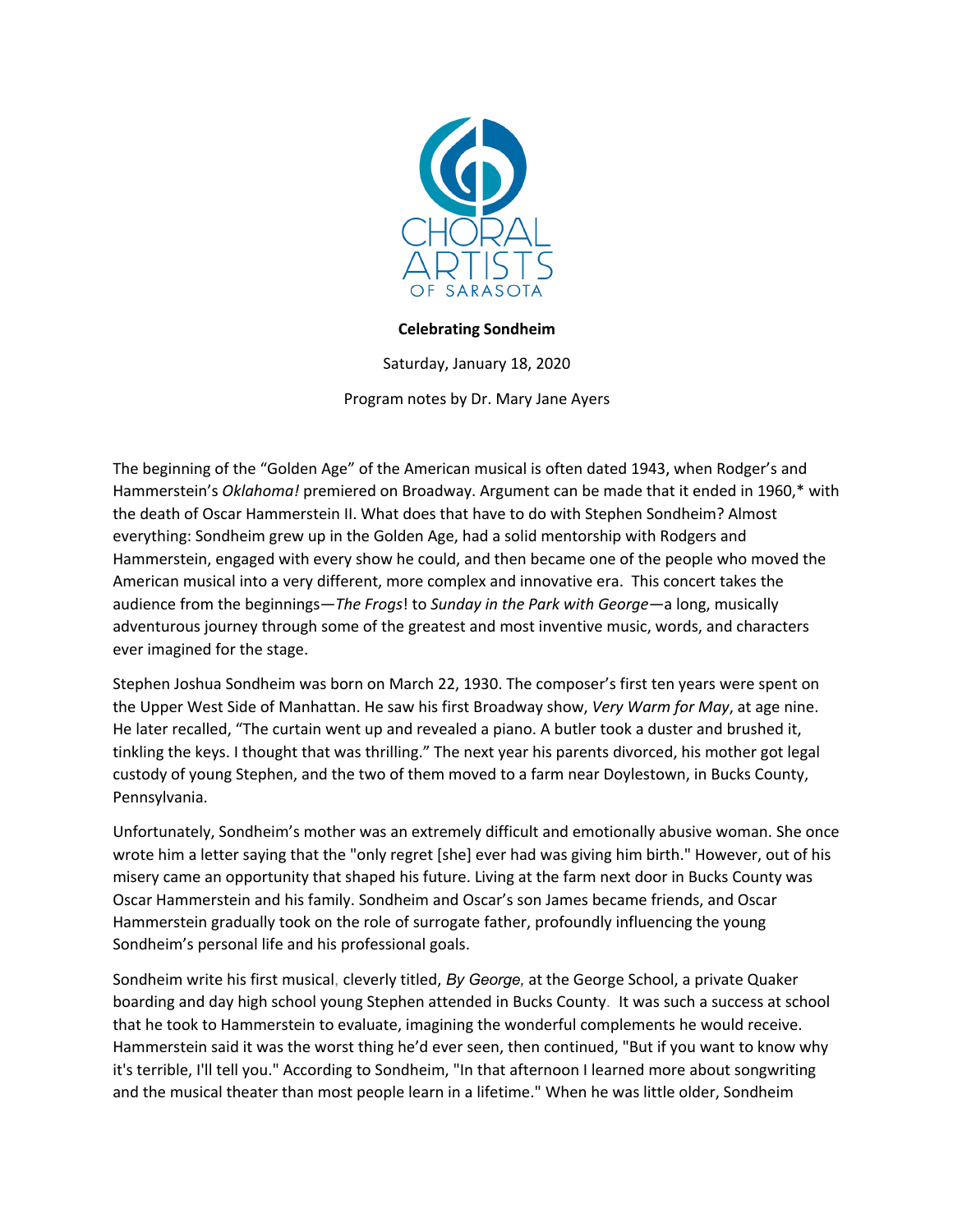

## **Celebrating Sondheim**

Saturday, January 18, 2020

Program notes by Dr. Mary Jane Ayers

The beginning of the "Golden Age" of the American musical is often dated 1943, when Rodger's and Hammerstein's *Oklahoma!* premiered on Broadway. Argument can be made that it ended in 1960,\* with the death of Oscar Hammerstein II. What does that have to do with Stephen Sondheim? Almost everything: Sondheim grew up in the Golden Age, had a solid mentorship with Rodgers and Hammerstein, engaged with every show he could, and then became one of the people who moved the American musical into a very different, more complex and innovative era. This concert takes the audience from the beginnings—*The Frogs*! to *Sunday in the Park with George—*a long, musically adventurous journey through some of the greatest and most inventive music, words, and characters ever imagined for the stage.

Stephen Joshua Sondheim was born on March 22, 1930. The composer's first ten years were spent on the Upper West Side of Manhattan. He saw his first Broadway show, *Very Warm for May*, at age nine. He later recalled, "The curtain went up and revealed a piano. A butler took a duster and brushed it, tinkling the keys. I thought that was thrilling." The next year his parents divorced, his mother got legal custody of young Stephen, and the two of them moved to a farm near Doylestown, in Bucks County, Pennsylvania.

Unfortunately, Sondheim's mother was an extremely difficult and emotionally abusive woman. She once wrote him a letter saying that the "only regret [she] ever had was giving him birth." However, out of his misery came an opportunity that shaped his future. Living at the farm next door in Bucks County was Oscar Hammerstein and his family. Sondheim and Oscar's son James became friends, and Oscar Hammerstein gradually took on the role of surrogate father, profoundly influencing the young Sondheim's personal life and his professional goals.

Sondheim write his first musical, cleverly titled, *By George,* at the George School, a private Quaker boarding and day high school young Stephen attended in Bucks County. It was such a success at school that he took to Hammerstein to evaluate, imagining the wonderful complements he would receive. Hammerstein said it was the worst thing he'd ever seen, then continued, "But if you want to know why it's terrible, I'll tell you." According to Sondheim, "In that afternoon I learned more about songwriting and the musical theater than most people learn in a lifetime." When he was little older, Sondheim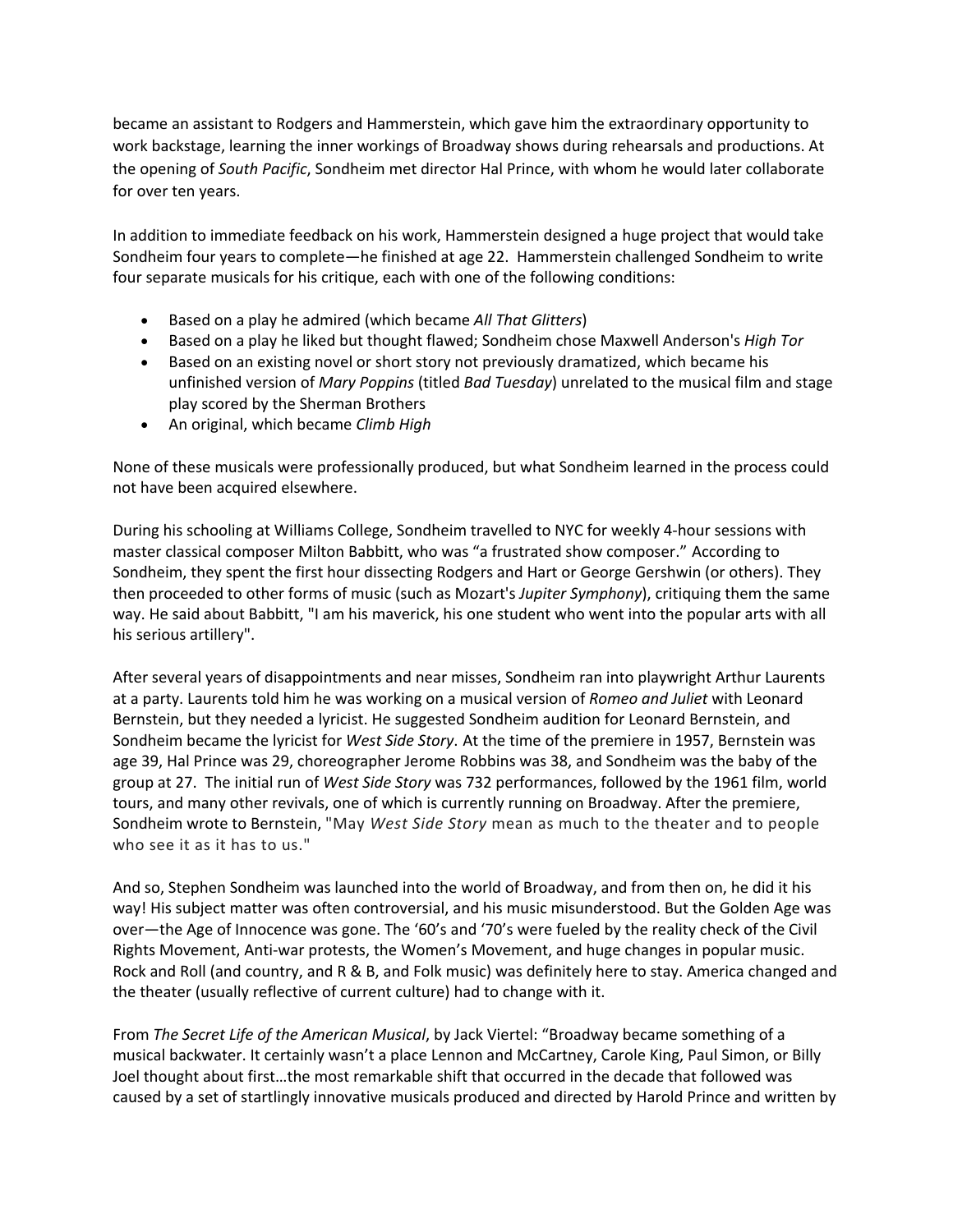became an assistant to Rodgers and Hammerstein, which gave him the extraordinary opportunity to work backstage, learning the inner workings of Broadway shows during rehearsals and productions. At the opening of *South Pacific*, Sondheim met director Hal Prince, with whom he would later collaborate for over ten years.

In addition to immediate feedback on his work, Hammerstein designed a huge project that would take Sondheim four years to complete—he finished at age 22. Hammerstein challenged Sondheim to write four separate musicals for his critique, each with one of the following conditions:

- Based on a play he admired (which became *All That Glitters*)
- Based on a play he liked but thought flawed; Sondheim chose Maxwell Anderson's *High Tor*
- Based on an existing novel or short story not previously dramatized, which became his unfinished version of *Mary Poppins* (titled *Bad Tuesday*) unrelated to the musical film and stage play scored by the Sherman Brothers
- An original, which became *Climb High*

None of these musicals were professionally produced, but what Sondheim learned in the process could not have been acquired elsewhere.

During his schooling at Williams College, Sondheim travelled to NYC for weekly 4-hour sessions with master classical composer Milton Babbitt, who was "a frustrated show composer." According to Sondheim, they spent the first hour dissecting Rodgers and Hart or George Gershwin (or others). They then proceeded to other forms of music (such as Mozart's *Jupiter Symphony*), critiquing them the same way. He said about Babbitt, "I am his maverick, his one student who went into the popular arts with all his serious artillery".

After several years of disappointments and near misses, Sondheim ran into playwright Arthur Laurents at a party. Laurents told him he was working on a musical version of *Romeo and Juliet* with Leonard Bernstein, but they needed a lyricist. He suggested Sondheim audition for Leonard Bernstein, and Sondheim became the lyricist for *West Side Story*. At the time of the premiere in 1957, Bernstein was age 39, Hal Prince was 29, choreographer Jerome Robbins was 38, and Sondheim was the baby of the group at 27. The initial run of *West Side Story* was 732 performances, followed by the 1961 film, world tours, and many other revivals, one of which is currently running on Broadway. After the premiere, Sondheim wrote to Bernstein, "May *West Side Story* mean as much to the theater and to people who see it as it has to us."

And so, Stephen Sondheim was launched into the world of Broadway, and from then on, he did it his way! His subject matter was often controversial, and his music misunderstood. But the Golden Age was over—the Age of Innocence was gone. The '60's and '70's were fueled by the reality check of the Civil Rights Movement, Anti-war protests, the Women's Movement, and huge changes in popular music. Rock and Roll (and country, and R & B, and Folk music) was definitely here to stay. America changed and the theater (usually reflective of current culture) had to change with it.

From *The Secret Life of the American Musical*, by Jack Viertel: "Broadway became something of a musical backwater. It certainly wasn't a place Lennon and McCartney, Carole King, Paul Simon, or Billy Joel thought about first…the most remarkable shift that occurred in the decade that followed was caused by a set of startlingly innovative musicals produced and directed by Harold Prince and written by